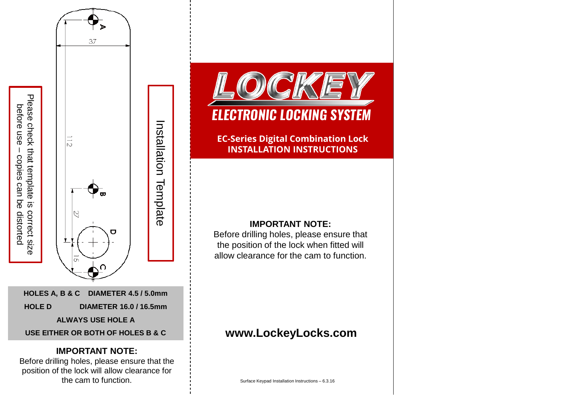

before use – copies can be distorted

before use - copies can be distorted

Before drilling holes, please ensure that the position of the lock will allow clearance for the cam to function.



**EC-Series Digital Combination Lock INSTALLATION INSTRUCTIONS** 

## **IMPORTANT NOTE:**

Before drilling holes, please ensure that the position of the lock when fitted will allow clearance for the cam to function.